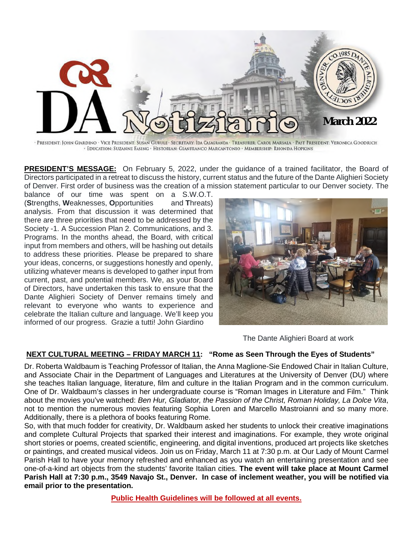

· PRESIDENT: JOHN GIARDINO · VICE PRESIDENT: SUSAN GURULE · SECRETARY: IDA CASAGRANDA · TREASURER: CAROL MARSALA · PAST PRESIDENT: VERONICA GOODRICH · EDUCATION: SUZANNE EASING · HISTORIAN: GIANFRANCO MARCANTONIO · MEMBERSHIP: RHONDA HOPKINS

**PRESIDENT'S MESSAGE:** On February 5, 2022, under the guidance of a trained facilitator, the Board of Directors participated in a retreat to discuss the history, current status and the future of the Dante Alighieri Society of Denver. First order of business was the creation of a mission statement particular to our Denver society. The

balance of our time was spent on a S.W.O.T. (**S**trengths, **W**eaknesses, **O**pportunities and **T**hreats) analysis. From that discussion it was determined that there are three priorities that need to be addressed by the Society -1. A Succession Plan 2. Communications, and 3. Programs. In the months ahead, the Board, with critical input from members and others, will be hashing out details to address these priorities. Please be prepared to share your ideas, concerns, or suggestions honestly and openly, utilizing whatever means is developed to gather input from current, past, and potential members. We, as your Board of Directors, have undertaken this task to ensure that the Dante Alighieri Society of Denver remains timely and relevant to everyone who wants to experience and celebrate the Italian culture and language. We'll keep you informed of our progress. Grazie a tutti! John Giardino



The Dante Alighieri Board at work

# **NEXT CULTURAL MEETING – FRIDAY MARCH 11: "Rome as Seen Through the Eyes of Students"**

Dr. Roberta Waldbaum is Teaching Professor of Italian, the Anna Maglione-Sie Endowed Chair in Italian Culture, and Associate Chair in the Department of Languages and Literatures at the University of Denver (DU) where she teaches Italian language, literature, film and culture in the Italian Program and in the common curriculum. One of Dr. Waldbaum's classes in her undergraduate course is "Roman Images in Literature and Film." Think about the movies you've watched: *Ben Hur, Gladiator, the Passion of the Christ, Roman Holiday, La Dolce Vita*, not to mention the numerous movies featuring Sophia Loren and Marcello Mastroianni and so many more. Additionally, there is a plethora of books featuring Rome.

So, with that much fodder for creativity, Dr. Waldbaum asked her students to unlock their creative imaginations and complete Cultural Projects that sparked their interest and imaginations. For example, they wrote original short stories or poems, created scientific, engineering, and digital inventions, produced art projects like sketches or paintings, and created musical videos. Join us on Friday, March 11 at 7:30 p.m. at Our Lady of Mount Carmel Parish Hall to have your memory refreshed and enhanced as you watch an entertaining presentation and see one-of-a-kind art objects from the students' favorite Italian cities. **The event will take place at Mount Carmel Parish Hall at 7:30 p.m., 3549 Navajo St., Denver. In case of inclement weather, you will be notified via email prior to the presentation.**

**Public Health Guidelines will be followed at all events.**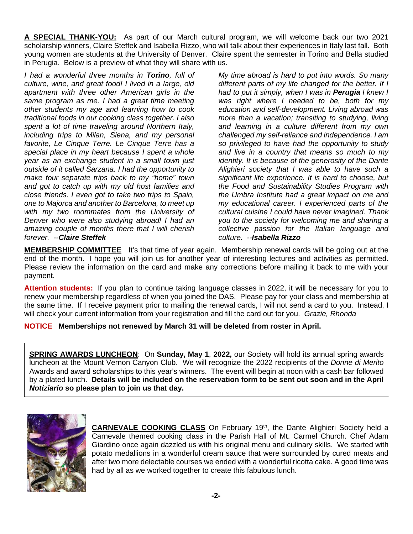**A SPECIAL THANK-YOU:** As part of our March cultural program, we will welcome back our two 2021 scholarship winners, Claire Steffek and Isabella Rizzo, who will talk about their experiences in Italy last fall. Both young women are students at the University of Denver. Claire spent the semester in Torino and Bella studied in Perugia. Below is a preview of what they will share with us.

*I had a wonderful three months in Torino, full of culture, wine, and great food! I lived in a large, old apartment with three other American girls in the same program as me. I had a great time meeting other students my age and learning how to cook traditional foods in our cooking class together. I also spent a lot of time traveling around Northern Italy, including trips to Milan, Siena, and my personal favorite, Le Cinque Terre. Le Cinque Terre has a special place in my heart because I spent a whole year as an exchange student in a small town just outside of it called Sarzana. I had the opportunity to make four separate trips back to my "home" town and got to catch up with my old host families and close friends. I even got to take two trips to Spain, one to Majorca and another to Barcelona, to meet up with my two roommates from the University of Denver who were also studying abroad! I had an amazing couple of months there that I will cherish forever. --Claire Steffek*

*My time abroad is hard to put into words. So many different parts of my life changed for the better. If I had to put it simply, when I was in Perugia I knew I was right where I needed to be, both for my education and self-development. Living abroad was more than a vacation; transiting to studying, living and learning in a culture different from my own challenged my self-reliance and independence. I am so privileged to have had the opportunity to study and live in a country that means so much to my identity. It is because of the generosity of the Dante Alighieri society that I was able to have such a significant life experience. It is hard to choose, but the Food and Sustainability Studies Program with the Umbra Institute had a great impact on me and my educational career. I experienced parts of the cultural cuisine I could have never imagined. Thank you to the society for welcoming me and sharing a collective passion for the Italian language and culture. --Isabella Rizzo*

**MEMBERSHIP COMMITTEE** It's that time of year again. Membership renewal cards will be going out at the end of the month. I hope you will join us for another year of interesting lectures and activities as permitted. Please review the information on the card and make any corrections before mailing it back to me with your payment.

**Attention students:** If you plan to continue taking language classes in 2022, it will be necessary for you to renew your membership regardless of when you joined the DAS. Please pay for your class and membership at the same time. If I receive payment prior to mailing the renewal cards, I will not send a card to you. Instead, I will check your current information from your registration and fill the card out for you. *Grazie, Rhonda* 

**NOTICE Memberships not renewed by March 31 will be deleted from roster in April.** 

**SPRING AWARDS LUNCHEON**: On **Sunday, May 1**, **2022,** our Society will hold its annual spring awards luncheon at the Mount Vernon Canyon Club. We will recognize the 2022 recipients of the *Donne di Merito* Awards and award scholarships to this year's winners. The event will begin at noon with a cash bar followed by a plated lunch. **Details will be included on the reservation form to be sent out soon and in the April**  *Notiziario* **so please plan to join us that day.** 



**CARNEVALE COOKING CLASS** On February 19<sup>th</sup>, the Dante Alighieri Society held a Carnevale themed cooking class in the Parish Hall of Mt. Carmel Church. Chef Adam Giardino once again dazzled us with his original menu and culinary skills. We started with potato medallions in a wonderful cream sauce that were surrounded by cured meats and after two more delectable courses we ended with a wonderful ricotta cake. A good time was had by all as we worked together to create this fabulous lunch.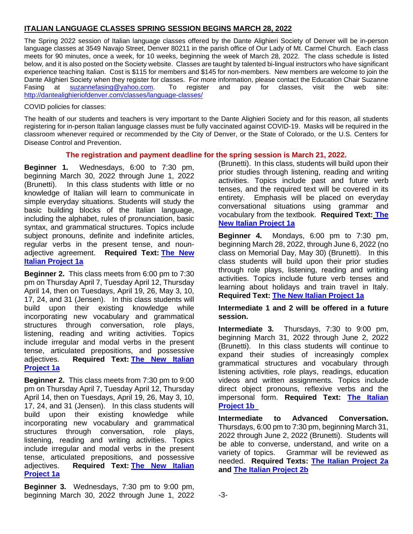# **ITALIAN LANGUAGE CLASSES SPRING SESSION BEGINS MARCH 28, 2022**

The Spring 2022 session of Italian language classes offered by the Dante Alighieri Society of Denver will be in-person language classes at 3549 Navajo Street, Denver 80211 in the parish office of Our Lady of Mt. Carmel Church. Each class meets for 90 minutes, once a week, for 10 weeks, beginning the week of March 28, 2022. The class schedule is listed below, and it is also posted on the Society website. Classes are taught by talented bi-lingual instructors who have significant experience teaching Italian. Cost is \$115 for members and \$145 for non-members. New members are welcome to join the Dante Alighieri Society when they register for classes. For more information, please contact the Education Chair Suzanne Fasing at suzannefasing@yahoo.com. To register and pay for classes, visit the web site: http://dantealighieriofdenver.com/classes/language-classes/

COVID policies for classes:

The health of our students and teachers is very important to the Dante Alighieri Society and for this reason, all students registering for in-person Italian language classes must be fully vaccinated against COVID-19. Masks will be required in the classroom whenever required or recommended by the City of Denver, or the State of Colorado, or the U.S. Centers for Disease Control and Prevention.

# **The registration and payment deadline for the spring session is March 21, 2022.**

**Beginner 1.** Wednesdays, 6:00 to 7:30 pm, beginning March 30, 2022 through June 1, 2022 (Brunetti). In this class students with little or no knowledge of Italian will learn to communicate in simple everyday situations. Students will study the basic building blocks of the Italian language, including the alphabet, rules of pronunciation, basic syntax, and grammatical structures. Topics include subject pronouns, definite and indefinite articles, regular verbs in the present tense, and nounadjective agreement. **Required Text: The New Italian Project 1a**

**Beginner 2.** This class meets from 6:00 pm to 7:30 pm on Thursday April 7, Tuesday April 12, Thursday April 14, then on Tuesdays, April 19, 26, May 3, 10, 17, 24, and 31 (Jensen). In this class students will build upon their existing knowledge while incorporating new vocabulary and grammatical structures through conversation, role plays, listening, reading and writing activities. Topics include irregular and modal verbs in the present tense, articulated prepositions, and possessive adjectives. **Required Text: The New Italian Project 1a**

**Beginner 2.** This class meets from 7:30 pm to 9:00 pm on Thursday April 7, Tuesday April 12, Thursday April 14, then on Tuesdays, April 19, 26, May 3, 10, 17, 24, and 31 (Jensen). In this class students will build upon their existing knowledge while incorporating new vocabulary and grammatical structures through conversation, role plays, listening, reading and writing activities. Topics include irregular and modal verbs in the present tense, articulated prepositions, and possessive adjectives. **Required Text: The New Italian Project 1a**

**Beginner 3.** Wednesdays, 7:30 pm to 9:00 pm, beginning March 30, 2022 through June 1, 2022 (Brunetti). In this class, students will build upon their prior studies through listening, reading and writing activities. Topics include past and future verb tenses, and the required text will be covered in its entirety. Emphasis will be placed on everyday conversational situations using grammar and vocabulary from the textbook. **Required Text: The New Italian Project 1a**

**Beginner 4.** Mondays, 6:00 pm to 7:30 pm, beginning March 28, 2022, through June 6, 2022 (no class on Memorial Day, May 30) (Brunetti). In this class students will build upon their prior studies through role plays, listening, reading and writing activities. Topics include future verb tenses and learning about holidays and train travel in Italy. **Required Text: The New Italian Project 1a**

# **Intermediate 1 and 2 will be offered in a future session.**

**Intermediate 3.** Thursdays, 7:30 to 9:00 pm, beginning March 31, 2022 through June 2, 2022 (Brunetti). In this class students will continue to expand their studies of increasingly complex grammatical structures and vocabulary through listening activities, role plays, readings, education videos and written assignments. Topics include direct object pronouns, reflexive verbs and the impersonal form. **Required Text: The Italian Project 1b** 

**Intermediate to Advanced Conversation.**  Thursdays, 6:00 pm to 7:30 pm, beginning March 31, 2022 through June 2, 2022 (Brunetti). Students will be able to converse, understand, and write on a variety of topics. Grammar will be reviewed as needed. **Required Texts: The Italian Project 2a and The Italian Project 2b**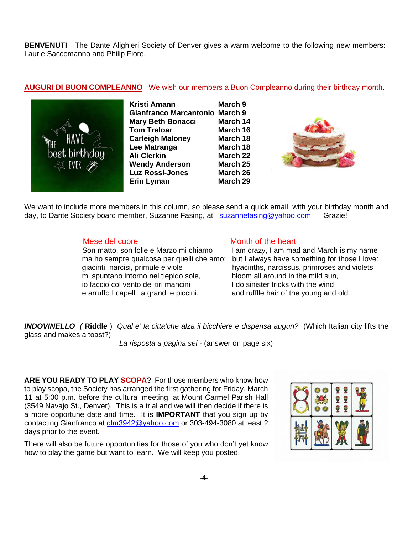**BENVENUTI** The Dante Alighieri Society of Denver gives a warm welcome to the following new members: Laurie Saccomanno and Philip Fiore.

### **AUGURI DI BUON COMPLEANNO** We wish our members a Buon Compleanno during their birthday month.



**Kristi Amann March 9 Gianfranco Marcantonio March 9 Mary Beth Bonacci March 14 Tom Treloar March 16 Carleigh Maloney March 18**  Lee Matranga **March 18** Ali Clerkin **March 22 Wendy Anderson March 25 Luz Rossi-Jones March 26 Erin Lyman March 29** 



We want to include more members in this column, so please send a quick email, with your birthday month and day, to Dante Society board member, Suzanne Fasing, at suzannefasing@yahoo.com Grazie!

 mi spuntano intorno nel tiepido sole, bloom all around in the mild sun, io faccio col vento dei tiri mancini I do sinister tricks with the wind e arruffo I capelli a grandi e piccini. and rufflle hair of the young and old.

#### Mese del cuore Month of the heart

Son matto, son folle e Marzo mi chiamo I am crazy, I am mad and March is my name ma ho sempre qualcosa per quelli che amo: but I always have something for those I love: giacinti, narcisi, primule e viole hyacinths, narcissus, primroses and violets

*INDOVINELLO (* **Riddle** ) *Qual e' la citta'che alza il bicchiere e dispensa auguri?* (Which Italian city lifts the glass and makes a toast?)

*La risposta a pagina sei* - (answer on page six)

**ARE YOU READY TO PLAY SCOPA?** For those members who know how to play scopa, the Society has arranged the first gathering for Friday, March 11 at 5:00 p.m. before the cultural meeting, at Mount Carmel Parish Hall (3549 Navajo St., Denver). This is a trial and we will then decide if there is a more opportune date and time. It is **IMPORTANT** that you sign up by contacting Gianfranco at glm3942@yahoo.com or 303-494-3080 at least 2 days prior to the event.

There will also be future opportunities for those of you who don't yet know how to play the game but want to learn. We will keep you posted.

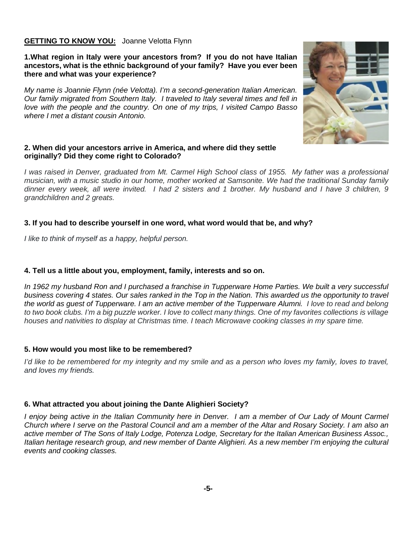# **GETTING TO KNOW YOU:** Joanne Velotta Flynn

**1.What region in Italy were your ancestors from? If you do not have Italian ancestors, what is the ethnic background of your family? Have you ever been there and what was your experience?** 

*My name is Joannie Flynn (née Velotta). I'm a second-generation Italian American. Our family migrated from Southern Italy. I traveled to Italy several times and fell in love with the people and the country. On one of my trips, I visited Campo Basso where I met a distant cousin Antonio.* 



#### **2. When did your ancestors arrive in America, and where did they settle originally? Did they come right to Colorado?**

*I* was raised in Denver, graduated from Mt. Carmel High School class of 1955. My father was a professional *musician, with a music studio in our home, mother worked at Samsonite. We had the traditional Sunday family dinner every week, all were invited. I had 2 sisters and 1 brother. My husband and I have 3 children, 9 grandchildren and 2 greats.* 

#### **3. If you had to describe yourself in one word, what word would that be, and why?**

*I like to think of myself as a happy, helpful person.* 

#### **4. Tell us a little about you, employment, family, interests and so on.**

*In 1962 my husband Ron and I purchased a franchise in Tupperware Home Parties. We built a very successful*  business covering 4 states. Our sales ranked in the Top in the Nation. This awarded us the opportunity to travel *the world as guest of Tupperware. I am an active member of the Tupperware Alumni. I love to read and belong to two book clubs. I'm a big puzzle worker. I love to collect many things. One of my favorites collections is village houses and nativities to display at Christmas time. I teach Microwave cooking classes in my spare time.* 

#### **5. How would you most like to be remembered?**

*I'd like to be remembered for my integrity and my smile and as a person who loves my family, loves to travel, and loves my friends.* 

#### **6. What attracted you about joining the Dante Alighieri Society?**

*I* enjoy being active in the Italian Community here in Denver. I am a member of Our Lady of Mount Carmel *Church where I serve on the Pastoral Council and am a member of the Altar and Rosary Society. I am also an active member of The Sons of Italy Lodge, Potenza Lodge, Secretary for the Italian American Business Assoc., Italian heritage research group, and new member of Dante Alighieri. As a new member I'm enjoying the cultural events and cooking classes.*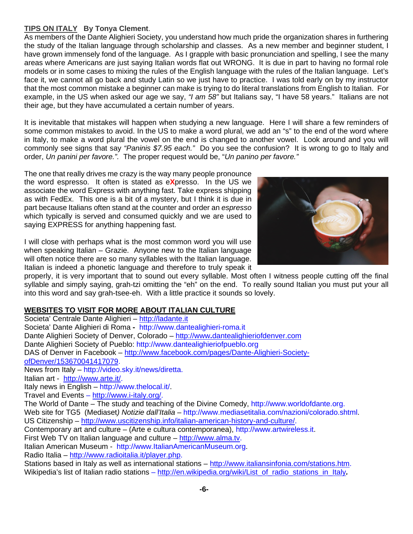# **TIPS ON ITALY By Tonya Clement**.

As members of the Dante Alighieri Society, you understand how much pride the organization shares in furthering the study of the Italian language through scholarship and classes. As a new member and beginner student, I have grown immensely fond of the language. As I grapple with basic pronunciation and spelling, I see the many areas where Americans are just saying Italian words flat out WRONG. It is due in part to having no formal role models or in some cases to mixing the rules of the English language with the rules of the Italian language. Let's face it, we cannot all go back and study Latin so we just have to practice. I was told early on by my instructor that the most common mistake a beginner can make is trying to do literal translations from English to Italian. For example, in the US when asked our age we say, *"I am 58"* but Italians say, "I have 58 years." Italians are not their age, but they have accumulated a certain number of years.

It is inevitable that mistakes will happen when studying a new language. Here I will share a few reminders of some common mistakes to avoid. In the US to make a word plural, we add an "s" to the end of the word where in Italy, to make a word plural the vowel on the end is changed to another vowel. Look around and you will commonly see signs that say *"Paninis \$7.95 each."* Do you see the confusion? It is wrong to go to Italy and order, *Un panini per favore.".* The proper request would be, "*Un panino per favore."* 

The one that really drives me crazy is the way many people pronounce the word espresso. It often is stated as e**X**presso. In the US we associate the word Express with anything fast. Take express shipping as with FedEx. This one is a bit of a mystery, but I think it is due in part because Italians often stand at the counter and order an *espresso*  which typically is served and consumed quickly and we are used to saying EXPRESS for anything happening fast.

I will close with perhaps what is the most common word you will use when speaking Italian – Grazie. Anyone new to the Italian language will often notice there are so many syllables with the Italian language. Italian is indeed a phonetic language and therefore to truly speak it



properly, it is very important that to sound out every syllable. Most often I witness people cutting off the final syllable and simply saying, grah-tzi omitting the "eh" on the end. To really sound Italian you must put your all into this word and say grah-tsee-eh. With a little practice it sounds so lovely.

# **WEBSITES TO VISIT FOR MORE ABOUT ITALIAN CULTURE**

Societa' Centrale Dante Alighieri – http://ladante.it Societa' Dante Alighieri di Roma **-** http://www.dantealighieri-roma.it Dante Alighieri Society of Denver, Colorado – http://www**.**dantealighieriofdenver.com Dante Alighieri Society of Pueblo: http://www.dantealighieriofpueblo.org DAS of Denver in Facebook – http://www.facebook.com/pages/Dante-Alighieri-SocietyofDenver/153670041417079. News from Italy – http://video.sky.it/news/diretta. Italian art - http://www.arte.it/. Italy news in English – http://www.thelocal.it/. Travel and Events – http://www.i-italy.org/. The World of Dante – The study and teaching of the Divine Comedy, http://www.worldofdante.org. Web site for TG5 (Mediaset*) Notizie dall'Italia –* http://www.mediasetitalia.com/nazioni/colorado.shtml. US Citizenship – http://www.uscitizenship.info/italian-american-history-and-culture/. Contemporary art and culture – (Arte e cultura contemporanea), http://www.artwireless.it. First Web TV on Italian language and culture – http://www.alma.tv. Italian American Museum - http://www.ItalianAmericanMuseum.org. Radio Italia – http://www.radioitalia.it/player.php. Stations based in Italy as well as international stations – http://www.italiansinfonia.com/stations.htm. Wikipedia's list of Italian radio stations – http://en.wikipedia.org/wiki/List\_of\_radio\_stations\_in\_Italy.